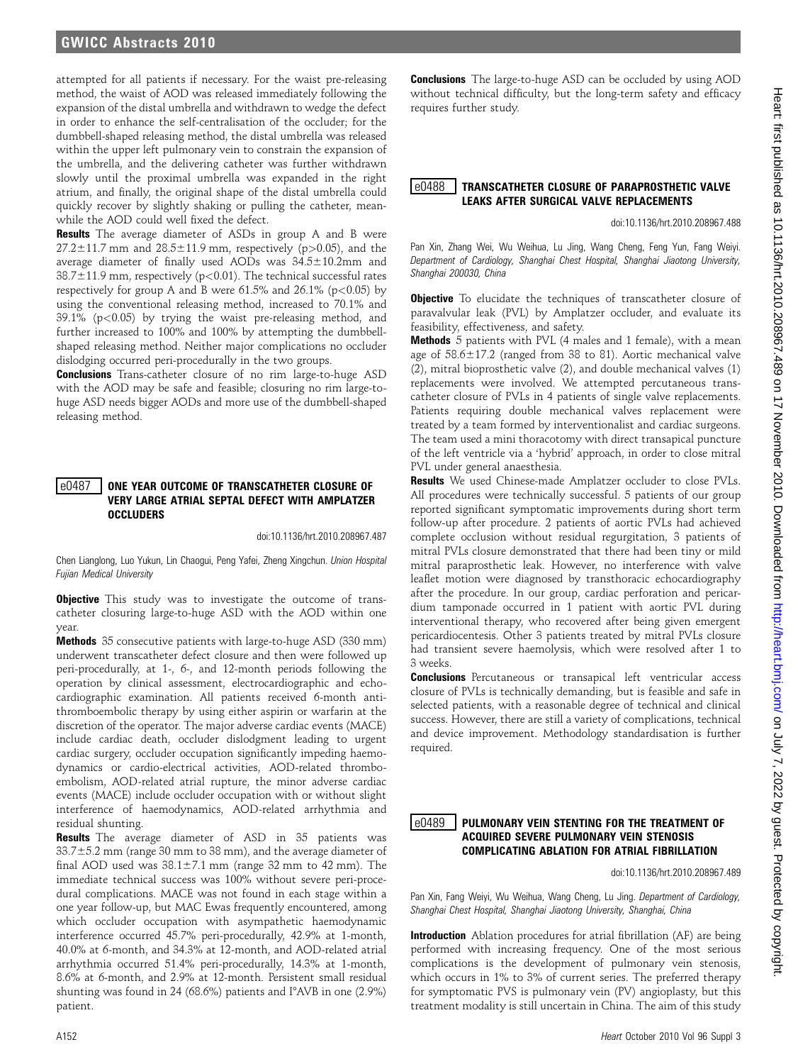# GWICC Abstracts 2010

attempted for all patients if necessary. For the waist pre-releasing method, the waist of AOD was released immediately following the expansion of the distal umbrella and withdrawn to wedge the defect in order to enhance the self-centralisation of the occluder; for the dumbbell-shaped releasing method, the distal umbrella was released within the upper left pulmonary vein to constrain the expansion of the umbrella, and the delivering catheter was further withdrawn slowly until the proximal umbrella was expanded in the right atrium, and finally, the original shape of the distal umbrella could quickly recover by slightly shaking or pulling the catheter, meanwhile the AOD could well fixed the defect.

**Results** The average diameter of ASDs in group A and B were  $27.2 \pm 11.7$  mm and  $28.5 \pm 11.9$  mm, respectively (p>0.05), and the average diameter of finally used AODs was  $34.5 \pm 10.2$ mm and  $38.7 \pm 11.9$  mm, respectively (p<0.01). The technical successful rates respectively for group A and B were  $61.5\%$  and  $26.1\%$  (p $< 0.05$ ) by using the conventional releasing method, increased to 70.1% and  $39.1\%$  (p<0.05) by trying the waist pre-releasing method, and further increased to 100% and 100% by attempting the dumbbellshaped releasing method. Neither major complications no occluder dislodging occurred peri-procedurally in the two groups.

**Conclusions** Trans-catheter closure of no rim large-to-huge ASD with the AOD may be safe and feasible; closuring no rim large-tohuge ASD needs bigger AODs and more use of the dumbbell-shaped releasing method.

#### Le0487 LONE YEAR OUTCOME OF TRANSCATHETER CLOSURE OF VERY LARGE ATRIAL SEPTAL DEFECT WITH AMPLATZER **OCCLUDERS**

doi:10.1136/hrt.2010.208967.487

Chen Lianglong, Luo Yukun, Lin Chaogui, Peng Yafei, Zheng Xingchun. Union Hospital Fujian Medical University

**Objective** This study was to investigate the outcome of transcatheter closuring large-to-huge ASD with the AOD within one year.

Methods 35 consecutive patients with large-to-huge ASD (330 mm) underwent transcatheter defect closure and then were followed up peri-procedurally, at 1-, 6-, and 12-month periods following the operation by clinical assessment, electrocardiographic and echocardiographic examination. All patients received 6-month antithromboembolic therapy by using either aspirin or warfarin at the discretion of the operator. The major adverse cardiac events (MACE) include cardiac death, occluder dislodgment leading to urgent cardiac surgery, occluder occupation significantly impeding haemodynamics or cardio-electrical activities, AOD-related thromboembolism, AOD-related atrial rupture, the minor adverse cardiac events (MACE) include occluder occupation with or without slight interference of haemodynamics, AOD-related arrhythmia and residual shunting.

Results The average diameter of ASD in 35 patients was  $33.7\pm5.2$  mm (range 30 mm to 38 mm), and the average diameter of final AOD used was  $38.1 \pm 7.1$  mm (range 32 mm to 42 mm). The immediate technical success was 100% without severe peri-procedural complications. MACE was not found in each stage within a one year follow-up, but MAC Ewas frequently encountered, among which occluder occupation with asympathetic haemodynamic interference occurred 45.7% peri-procedurally, 42.9% at 1-month, 40.0% at 6-month, and 34.3% at 12-month, and AOD-related atrial arrhythmia occurred 51.4% peri-procedurally, 14.3% at 1-month, 8.6% at 6-month, and 2.9% at 12-month. Persistent small residual shunting was found in 24 (68.6%) patients and  $\Gamma^2$ AVB in one (2.9%) patient.

**Conclusions** The large-to-huge ASD can be occluded by using AOD without technical difficulty, but the long-term safety and efficacy requires further study.

#### e0488 TRANSCATHETER CLOSURE OF PARAPROSTHETIC VALVE LEAKS AFTER SURGICAL VALVE REPLACEMENTS

doi:10.1136/hrt.2010.208967.488

Pan Xin, Zhang Wei, Wu Weihua, Lu Jing, Wang Cheng, Feng Yun, Fang Weiyi. Department of Cardiology, Shanghai Chest Hospital, Shanghai Jiaotong University, Shanghai 200030, China

**Objective** To elucidate the techniques of transcatheter closure of paravalvular leak (PVL) by Amplatzer occluder, and evaluate its feasibility, effectiveness, and safety.

Methods 5 patients with PVL (4 males and 1 female), with a mean age of  $58.6 \pm 17.2$  (ranged from 38 to 81). Aortic mechanical valve (2), mitral bioprosthetic valve (2), and double mechanical valves (1) replacements were involved. We attempted percutaneous transcatheter closure of PVLs in 4 patients of single valve replacements. Patients requiring double mechanical valves replacement were treated by a team formed by interventionalist and cardiac surgeons. The team used a mini thoracotomy with direct transapical puncture of the left ventricle via a 'hybrid' approach, in order to close mitral PVL under general anaesthesia.

Results We used Chinese-made Amplatzer occluder to close PVLs. All procedures were technically successful. 5 patients of our group reported significant symptomatic improvements during short term follow-up after procedure. 2 patients of aortic PVLs had achieved complete occlusion without residual regurgitation, 3 patients of mitral PVLs closure demonstrated that there had been tiny or mild mitral paraprosthetic leak. However, no interference with valve leaflet motion were diagnosed by transthoracic echocardiography after the procedure. In our group, cardiac perforation and pericardium tamponade occurred in 1 patient with aortic PVL during interventional therapy, who recovered after being given emergent pericardiocentesis. Other 3 patients treated by mitral PVLs closure had transient severe haemolysis, which were resolved after 1 to 3 weeks.

Conclusions Percutaneous or transapical left ventricular access closure of PVLs is technically demanding, but is feasible and safe in selected patients, with a reasonable degree of technical and clinical success. However, there are still a variety of complications, technical and device improvement. Methodology standardisation is further required.

#### $\mid$ e $0489$   $\mid$  pulmonary vein stenting for the treatment of ACQUIRED SEVERE PULMONARY VEIN STENOSIS COMPLICATING ABLATION FOR ATRIAL FIBRILLATION

doi:10.1136/hrt.2010.208967.489

Pan Xin, Fang Weiyi, Wu Weihua, Wang Cheng, Lu Jing. Department of Cardiology, Shanghai Chest Hospital, Shanghai Jiaotong University, Shanghai, China

Introduction Ablation procedures for atrial fibrillation (AF) are being performed with increasing frequency. One of the most serious complications is the development of pulmonary vein stenosis, which occurs in 1% to 3% of current series. The preferred therapy for symptomatic PVS is pulmonary vein (PV) angioplasty, but this treatment modality is still uncertain in China. The aim of this study